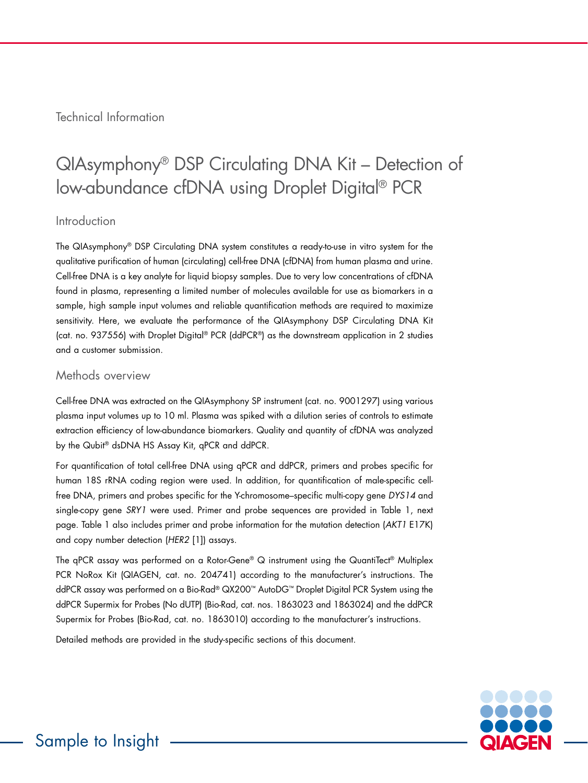Technical Information

# QIAsymphony® DSP Circulating DNA Kit – Detection of low-abundance cfDNA using Droplet Digital® PCR

## Introduction

The QIAsymphony® DSP Circulating DNA system constitutes a ready-to-use in vitro system for the qualitative purification of human (circulating) cell-free DNA (cfDNA) from human plasma and urine. Cell-free DNA is a key analyte for liquid biopsy samples. Due to very low concentrations of cfDNA found in plasma, representing a limited number of molecules available for use as biomarkers in a sample, high sample input volumes and reliable quantification methods are required to maximize sensitivity. Here, we evaluate the performance of the QIAsymphony DSP Circulating DNA Kit (cat. no. 937556) with Droplet Digital® PCR (ddPCR®) as the downstream application in 2 studies and a customer submission.

## Methods overview

Cell-free DNA was extracted on the QIAsymphony SP instrument (cat. no. 9001297) using various plasma input volumes up to 10 ml. Plasma was spiked with a dilution series of controls to estimate extraction efficiency of low-abundance biomarkers. Quality and quantity of cfDNA was analyzed by the Qubit® dsDNA HS Assay Kit, qPCR and ddPCR.

For quantification of total cell-free DNA using qPCR and ddPCR, primers and probes specific for human 18S rRNA coding region were used. In addition, for quantification of male-specific cellfree DNA, primers and probes specific for the Y-chromosome–specific multi-copy gene *DYS14* and single-copy gene *SRY1* were used. Primer and probe sequences are provided in Table 1, next page. Table 1 also includes primer and probe information for the mutation detection (*AKT1* E17K) and copy number detection (*HER2* [1]) assays.

The qPCR assay was performed on a Rotor-Gene® Q instrument using the QuantiTect® Multiplex PCR NoRox Kit (QIAGEN, cat. no. 204741) according to the manufacturer's instructions. The ddPCR assay was performed on a Bio-Rad® QX200™ AutoDG™ Droplet Digital PCR System using the ddPCR Supermix for Probes (No dUTP) (Bio-Rad, cat. nos. 1863023 and 1863024) and the ddPCR Supermix for Probes (Bio-Rad, cat. no. 1863010) according to the manufacturer's instructions.

Detailed methods are provided in the study-specific sections of this document.

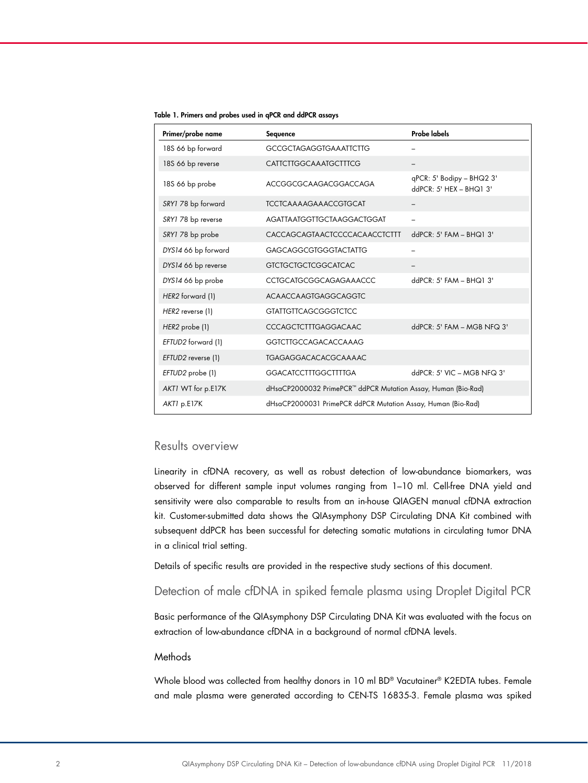| Primer/probe name   | Sequence                                                      | <b>Probe labels</b>                                      |
|---------------------|---------------------------------------------------------------|----------------------------------------------------------|
| 18S 66 bp forward   | <b>GCCGCTAGAGGTGAAATTCTTG</b>                                 |                                                          |
| 18S 66 bp reverse   | <b>CATTCTTGGCAAATGCTTTCG</b>                                  |                                                          |
| 18S 66 bp probe     | ACCGGCGCAAGACGGACCAGA                                         | $qPCR: 5'$ Bodipy - BHQ2 3'<br>$ddPCR: 5' HEX - BHQ1 3'$ |
| SRY1 78 bp forward  | <b>TCCTCAAAAGAAACCGTGCAT</b>                                  |                                                          |
| SRY1 78 bp reverse  | AGATTAATGGTTGCTAAGGACTGGAT                                    |                                                          |
| SRY1 78 bp probe    | CACCAGCAGTAACTCCCCACAACCTCTTT                                 | ddPCR: 5' FAM - BHQ1 3'                                  |
| DYS14 66 bp forward | <b>GAGCAGGCGTGGGTACTATTG</b>                                  |                                                          |
| DYS14 66 bp reverse | <b>GTCTGCTGCTCGGCATCAC</b>                                    |                                                          |
| DYS14 66 bp probe   | <b>CCTGCATGCGGCAGAGAAACCC</b>                                 | $ddPCR: 5' FAM - BHQ1 3'$                                |
| HER2 forward (1)    | <b>ACAACCAAGTGAGGCAGGTC</b>                                   |                                                          |
| HER2 reverse (1)    | <b>GTATTGTTCAGCGGGTCTCC</b>                                   |                                                          |
| HER2 probe (1)      | CCCAGCTCTTTGAGGACAAC                                          | $ddPCR: 5' FAM - MGB NFG 3'$                             |
| EFTUD2 forward (1)  | <b>GGTCTTGCCAGACACCAAAG</b>                                   |                                                          |
| EFTUD2 reverse (1)  | <b>TGAGAGGACACACGCAAAAC</b>                                   |                                                          |
| EFTUD2 probe (1)    | <b>GGACATCCTTTGGCTTTTGA</b>                                   | $ddPCR: 5' VIC - MGB NFO 3'$                             |
| AKTI WT for p.E17K  | dHsaCP2000032 PrimePCR™ ddPCR Mutation Assay, Human (Bio-Rad) |                                                          |
| AKTI p.E17K         | dHsaCP2000031 PrimePCR ddPCR Mutation Assay, Human (Bio-Rad)  |                                                          |

Table 1. Primers and probes used in qPCR and ddPCR assays

## Results overview

Linearity in cfDNA recovery, as well as robust detection of low-abundance biomarkers, was observed for different sample input volumes ranging from 1–10 ml. Cell-free DNA yield and sensitivity were also comparable to results from an in-house QIAGEN manual cfDNA extraction kit. Customer-submitted data shows the QIAsymphony DSP Circulating DNA Kit combined with subsequent ddPCR has been successful for detecting somatic mutations in circulating tumor DNA in a clinical trial setting.

Details of specific results are provided in the respective study sections of this document.

# Detection of male cfDNA in spiked female plasma using Droplet Digital PCR

Basic performance of the QIAsymphony DSP Circulating DNA Kit was evaluated with the focus on extraction of low-abundance cfDNA in a background of normal cfDNA levels.

### **Methods**

Whole blood was collected from healthy donors in 10 ml BD® Vacutainer® K2EDTA tubes. Female and male plasma were generated according to CEN-TS 16835-3. Female plasma was spiked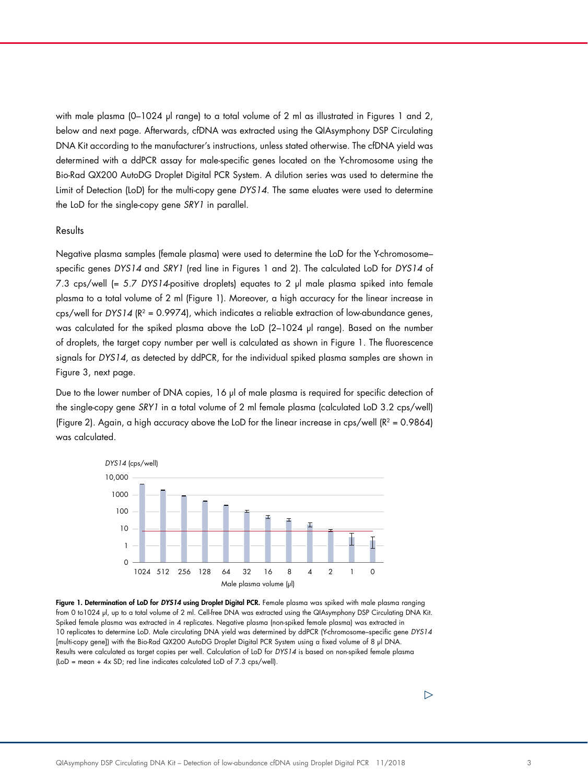with male plasma (0-1024 µl range) to a total volume of 2 ml as illustrated in Figures 1 and 2, below and next page. Afterwards, cfDNA was extracted using the QIAsymphony DSP Circulating DNA Kit according to the manufacturer's instructions, unless stated otherwise. The cfDNA yield was determined with a ddPCR assay for male-specific genes located on the Y-chromosome using the Bio-Rad QX200 AutoDG Droplet Digital PCR System. A dilution series was used to determine the Limit of Detection (LoD) for the multi-copy gene *DYS14*. The same eluates were used to determine the LoD for the single-copy gene *SRY1* in parallel.

#### Results

Negative plasma samples (female plasma) were used to determine the LoD for the Y-chromosome– specific genes *DYS14* and *SRY1* (red line in Figures 1 and 2). The calculated LoD for *DYS14* of 7.3 cps/well (= 5.7 *DYS14*-positive droplets) equates to 2 µl male plasma spiked into female plasma to a total volume of 2 ml (Figure 1). Moreover, a high accuracy for the linear increase in cps/well for *DYS14* (R2 = 0.9974), which indicates a reliable extraction of low-abundance genes, was calculated for the spiked plasma above the LoD (2-1024 µl range). Based on the number of droplets, the target copy number per well is calculated as shown in Figure 1. The fluorescence signals for *DYS14*, as detected by ddPCR, for the individual spiked plasma samples are shown in Figure 3, next page.

Due to the lower number of DNA copies, 16 µl of male plasma is required for specific detection of the single-copy gene *SRY1* in a total volume of 2 ml female plasma (calculated LoD 3.2 cps/well) (Figure 2). Again, a high accuracy above the LoD for the linear increase in cps/well ( $R^2 = 0.9864$ ) was calculated.



Figure 1. Determination of LoD for *DYS14* using Droplet Digital PCR. Female plasma was spiked with male plasma ranging from 0 to1024 µl, up to a total volume of 2 ml. Cell-free DNA was extracted using the QIAsymphony DSP Circulating DNA Kit. Spiked female plasma was extracted in 4 replicates. Negative plasma (non-spiked female plasma) was extracted in 10 replicates to determine LoD. Male circulating DNA yield was determined by ddPCR (Y-chromosome–specific gene *DYS14* [multi-copy gene]) with the Bio-Rad QX200 AutoDG Droplet Digital PCR System using a fixed volume of 8 µl DNA. Results were calculated as target copies per well. Calculation of LoD for *DYS14* is based on non-spiked female plasma (LoD = mean + 4x SD; red line indicates calculated LoD of 7.3 cps/well).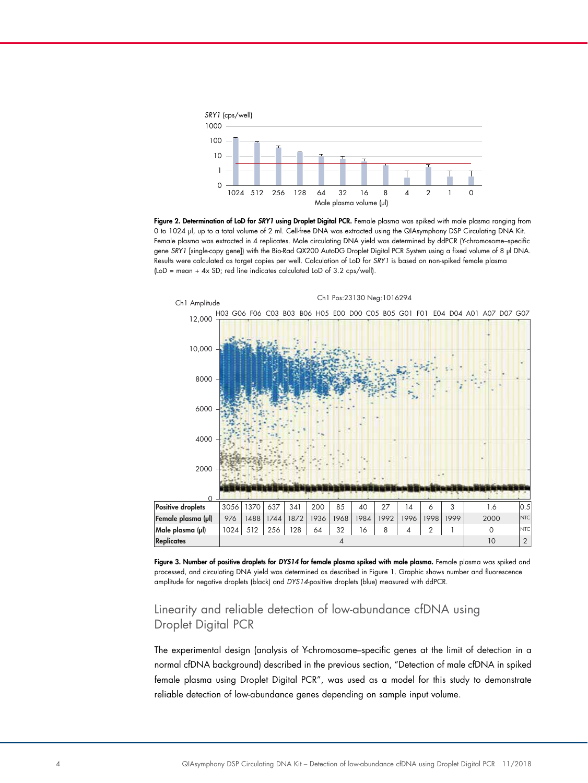

Figure 2. Determination of LoD for *SRY1* using Droplet Digital PCR. Female plasma was spiked with male plasma ranging from 0 to 1024 µl, up to a total volume of 2 ml. Cell-free DNA was extracted using the QIAsymphony DSP Circulating DNA Kit. Female plasma was extracted in 4 replicates. Male circulating DNA yield was determined by ddPCR (Y-chromosome–specific gene *SRY1* [single-copy gene]) with the Bio-Rad QX200 AutoDG Droplet Digital PCR System using a fixed volume of 8 µl DNA. Results were calculated as target copies per well. Calculation of LoD for *SRY1* is based on non-spiked female plasma (LoD = mean + 4x SD; red line indicates calculated LoD of 3.2 cps/well).



Figure 3. Number of positive droplets for *DYS14* for female plasma spiked with male plasma. Female plasma was spiked and processed, and circulating DNA yield was determined as described in Figure 1. Graphic shows number and fluorescence amplitude for negative droplets (black) and *DYS14*-positive droplets (blue) measured with ddPCR.

# Linearity and reliable detection of low-abundance cfDNA using Droplet Digital PCR

The experimental design (analysis of Y-chromosome–specific genes at the limit of detection in a normal cfDNA background) described in the previous section, "Detection of male cfDNA in spiked female plasma using Droplet Digital PCR", was used as a model for this study to demonstrate reliable detection of low-abundance genes depending on sample input volume.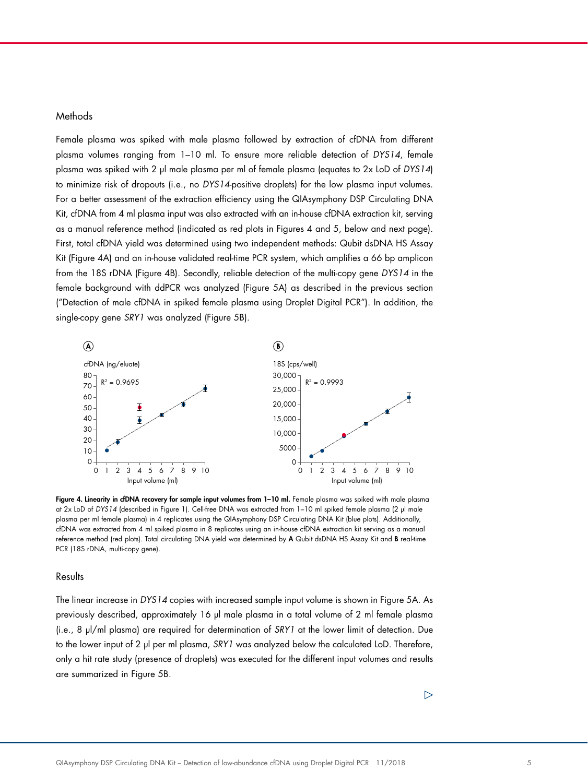### **Methods**

Female plasma was spiked with male plasma followed by extraction of cfDNA from different plasma volumes ranging from 1–10 ml. To ensure more reliable detection of *DYS14*, female plasma was spiked with 2 µl male plasma per ml of female plasma (equates to 2x LoD of *DYS14*) to minimize risk of dropouts (i.e., no *DYS14*-positive droplets) for the low plasma input volumes. For a better assessment of the extraction efficiency using the QIAsymphony DSP Circulating DNA Kit, cfDNA from 4 ml plasma input was also extracted with an in-house cfDNA extraction kit, serving as a manual reference method (indicated as red plots in Figures 4 and 5, below and next page). First, total cfDNA yield was determined using two independent methods: Qubit dsDNA HS Assay Kit (Figure 4A) and an in-house validated real-time PCR system, which amplifies a 66 bp amplicon from the 18S rDNA (Figure 4B). Secondly, reliable detection of the multi-copy gene *DYS14* in the female background with ddPCR was analyzed (Figure 5A) as described in the previous section ("Detection of male cfDNA in spiked female plasma using Droplet Digital PCR"). In addition, the single-copy gene *SRY1* was analyzed (Figure 5B).



Figure 4. Linearity in cfDNA recovery for sample input volumes from 1-10 ml. Female plasma was spiked with male plasma at 2x LoD of *DYS14* (described in Figure 1). Cell-free DNA was extracted from 1–10 ml spiked female plasma (2 µl male plasma per ml female plasma) in 4 replicates using the QIAsymphony DSP Circulating DNA Kit (blue plots). Additionally, cfDNA was extracted from 4 ml spiked plasma in 8 replicates using an in-house cfDNA extraction kit serving as a manual reference method (red plots). Total circulating DNA yield was determined by A Qubit dsDNA HS Assay Kit and B real-time PCR (18S rDNA, multi-copy gene).

#### **Results**

The linear increase in *DYS14* copies with increased sample input volume is shown in Figure 5A. As previously described, approximately 16 µl male plasma in a total volume of 2 ml female plasma (i.e., 8 µl/ml plasma) are required for determination of *SRY1* at the lower limit of detection. Due to the lower input of 2 µl per ml plasma, *SRY1* was analyzed below the calculated LoD. Therefore, only a hit rate study (presence of droplets) was executed for the different input volumes and results are summarized in Figure 5B.

 $\triangleright$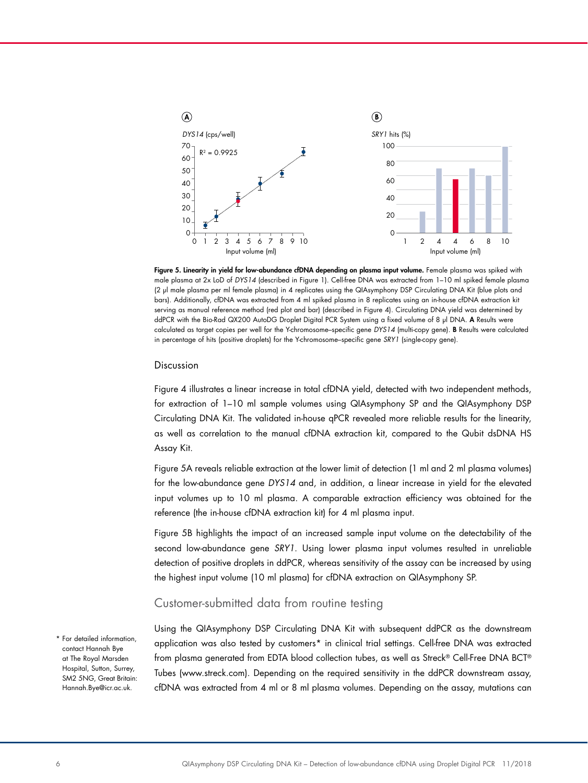

Figure 5. Linearity in yield for low-abundance cfDNA depending on plasma input volume. Female plasma was spiked with male plasma at 2x LoD of *DYS14* (described in Figure 1). Cell-free DNA was extracted from 1–10 ml spiked female plasma (2 µl male plasma per ml female plasma) in 4 replicates using the QIAsymphony DSP Circulating DNA Kit (blue plots and bars). Additionally, cfDNA was extracted from 4 ml spiked plasma in 8 replicates using an in-house cfDNA extraction kit serving as manual reference method (red plot and bar) (described in Figure 4). Circulating DNA yield was determined by ddPCR with the Bio-Rad QX200 AutoDG Droplet Digital PCR System using a fixed volume of 8 µl DNA. A Results were calculated as target copies per well for the Y-chromosome–specific gene *DYS14* (multi-copy gene). B Results were calculated in percentage of hits (positive droplets) for the Y-chromosome–specific gene *SRY1* (single-copy gene).

#### Discussion

Figure 4 illustrates a linear increase in total cfDNA yield, detected with two independent methods, for extraction of 1–10 ml sample volumes using QIAsymphony SP and the QIAsymphony DSP Circulating DNA Kit. The validated in-house qPCR revealed more reliable results for the linearity, as well as correlation to the manual cfDNA extraction kit, compared to the Qubit dsDNA HS Assay Kit.

Figure 5A reveals reliable extraction at the lower limit of detection (1 ml and 2 ml plasma volumes) for the low-abundance gene *DYS14* and, in addition, a linear increase in yield for the elevated input volumes up to 10 ml plasma. A comparable extraction efficiency was obtained for the reference (the in-house cfDNA extraction kit) for 4 ml plasma input.

Figure 5B highlights the impact of an increased sample input volume on the detectability of the second low-abundance gene *SRY1*. Using lower plasma input volumes resulted in unreliable detection of positive droplets in ddPCR, whereas sensitivity of the assay can be increased by using the highest input volume (10 ml plasma) for cfDNA extraction on QIAsymphony SP.

## Customer-submitted data from routine testing

\* For detailed information, contact Hannah Bye at The Royal Marsden Hospital, Sutton, Surrey, SM2 5NG, Great Britain: Hannah.Bye@icr.ac.uk.

Using the QIAsymphony DSP Circulating DNA Kit with subsequent ddPCR as the downstream application was also tested by customers\* in clinical trial settings. Cell-free DNA was extracted from plasma generated from EDTA blood collection tubes, as well as Streck® Cell-Free DNA BCT® Tubes (www.streck.com). Depending on the required sensitivity in the ddPCR downstream assay, cfDNA was extracted from 4 ml or 8 ml plasma volumes. Depending on the assay, mutations can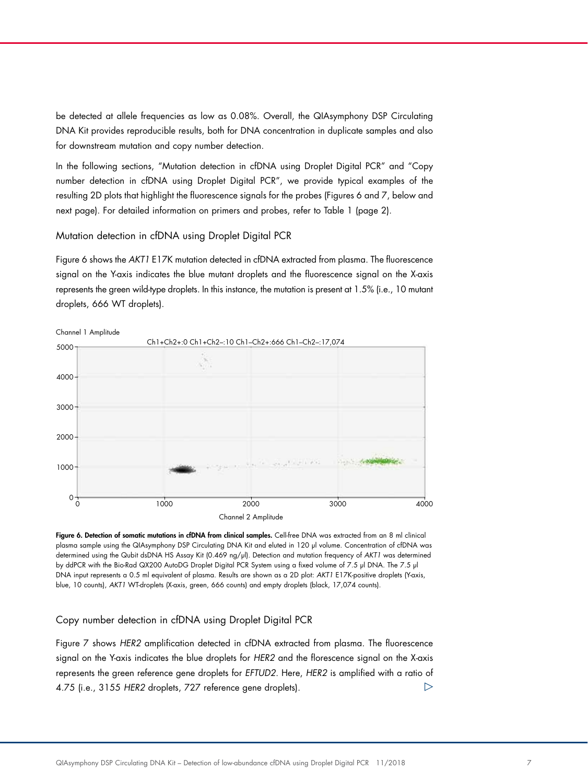be detected at allele frequencies as low as 0.08%. Overall, the QIAsymphony DSP Circulating DNA Kit provides reproducible results, both for DNA concentration in duplicate samples and also for downstream mutation and copy number detection.

In the following sections, "Mutation detection in cfDNA using Droplet Digital PCR" and "Copy number detection in cfDNA using Droplet Digital PCR", we provide typical examples of the resulting 2D plots that highlight the fluorescence signals for the probes (Figures 6 and 7, below and next page). For detailed information on primers and probes, refer to Table 1 (page 2).

Mutation detection in cfDNA using Droplet Digital PCR

Figure 6 shows the *AKT1* E17K mutation detected in cfDNA extracted from plasma. The fluorescence signal on the Y-axis indicates the blue mutant droplets and the fluorescence signal on the X-axis represents the green wild-type droplets. In this instance, the mutation is present at 1.5% (i.e., 10 mutant droplets, 666 WT droplets).



Figure 6. Detection of somatic mutations in cfDNA from clinical samples. Cell-free DNA was extracted from an 8 ml clinical plasma sample using the QIAsymphony DSP Circulating DNA Kit and eluted in 120 µl volume. Concentration of cfDNA was determined using the Qubit dsDNA HS Assay Kit (0.469 ng/µl). Detection and mutation frequency of *AKT1* was determined by ddPCR with the Bio-Rad QX200 AutoDG Droplet Digital PCR System using a fixed volume of 7.5 µl DNA. The 7.5 µl DNA input represents a 0.5 ml equivalent of plasma. Results are shown as a 2D plot: *AKT1* E17K-positive droplets (Y-axis, blue, 10 counts), *AKT1* WT-droplets (X-axis, green, 666 counts) and empty droplets (black, 17,074 counts).

Copy number detection in cfDNA using Droplet Digital PCR

Figure 7 shows *HER2* amplification detected in cfDNA extracted from plasma. The fluorescence signal on the Y-axis indicates the blue droplets for *HER2* and the florescence signal on the X-axis represents the green reference gene droplets for *EFTUD2*. Here, *HER2* is amplified with a ratio of 4.75 (i.e., 3155 *HER2* droplets, 727 reference gene droplets).  $\triangleright$